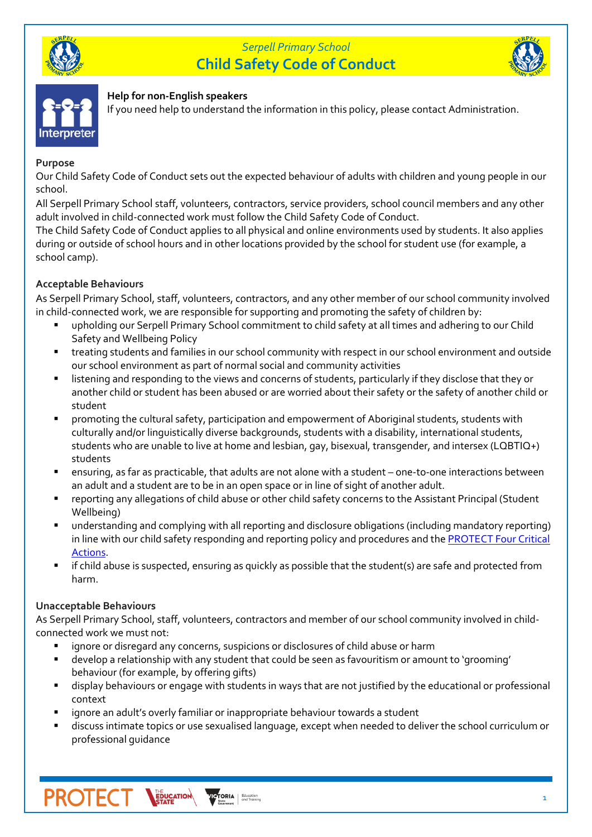

# *Serpell Primary School* **Child Safety Code of Conduct**



# Interpretei

### **Help for non-English speakers**

If you need help to understand the information in this policy, please contact Administration.

### **Purpose**

Our Child Safety Code of Conduct sets out the expected behaviour of adults with children and young people in our school.

All Serpell Primary School staff, volunteers, contractors, service providers, school council members and any other adult involved in child-connected work must follow the Child Safety Code of Conduct.

The Child Safety Code of Conduct applies to all physical and online environments used by students. It also applies during or outside of school hours and in other locations provided by the school for student use (for example, a school camp).

# **Acceptable Behaviours**

As Serpell Primary School, staff, volunteers, contractors, and any other member of our school community involved in child-connected work, we are responsible for supporting and promoting the safety of children by:

- upholding our Serpell Primary School commitment to child safety at all times and adhering to our Child Safety and Wellbeing Policy
- treating students and families in our school community with respect in our school environment and outside our school environment as part of normal social and community activities
- listening and responding to the views and concerns of students, particularly if they disclose that they or another child or student has been abused or are worried about their safety or the safety of another child or student
- promoting the cultural safety, participation and empowerment of Aboriginal students, students with culturally and/or linguistically diverse backgrounds, students with a disability, international students, students who are unable to live at home and lesbian, gay, bisexual, transgender, and intersex (LQBTIQ+) students
- ensuring, as far as practicable, that adults are not alone with a student one-to-one interactions between an adult and a student are to be in an open space or in line of sight of another adult.
- reporting any allegations of child abuse or other child safety concerns to the Assistant Principal (Student Wellbeing)
- understanding and complying with all reporting and disclosure obligations (including mandatory reporting) in line with our child safety responding and reporting policy and procedures and the **PROTECT Four Critical** [Actions.](https://www.education.vic.gov.au/Documents/about/programs/health/protect/FourCriticalActions_ChildAbuse.pdf)
- if child abuse is suspected, ensuring as quickly as possible that the student(s) are safe and protected from harm.

## **Unacceptable Behaviours**

As Serpell Primary School, staff, volunteers, contractors and member of our school community involved in childconnected work we must not:

- ignore or disregard any concerns, suspicions or disclosures of child abuse or harm
- develop a relationship with any student that could be seen as favouritism or amount to 'grooming' behaviour (for example, by offering gifts)
- display behaviours or engage with students in ways that are not justified by the educational or professional context
- ignore an adult's overly familiar or inappropriate behaviour towards a student
- discuss intimate topics or use sexualised language, except when needed to deliver the school curriculum or professional guidance